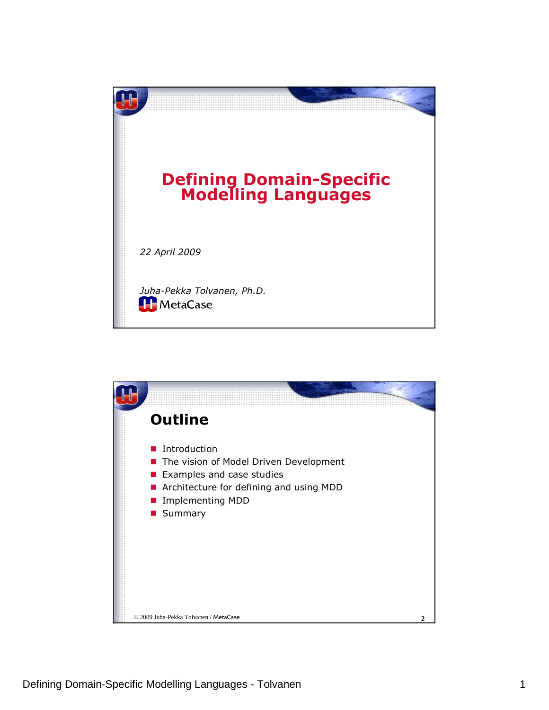

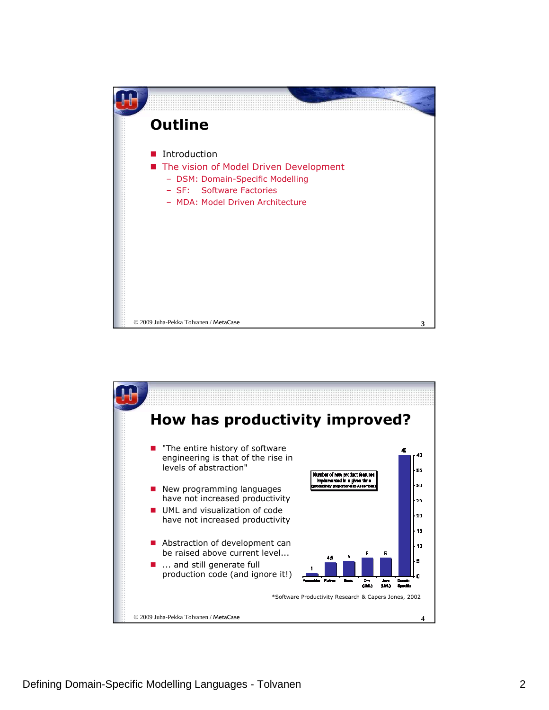

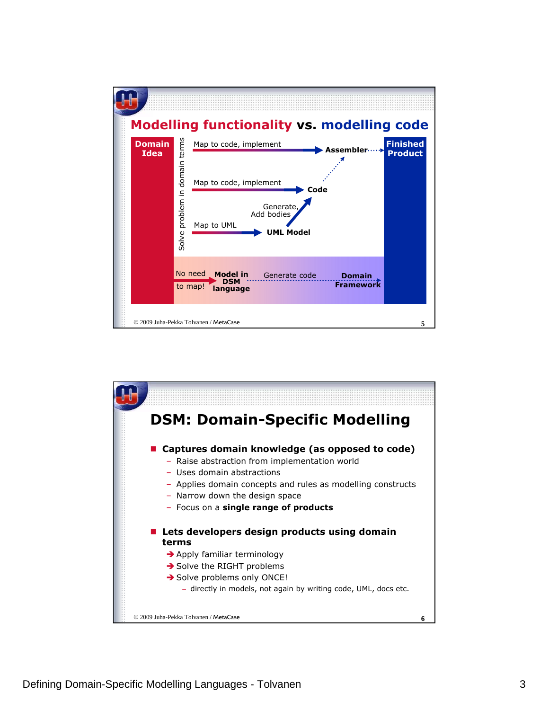

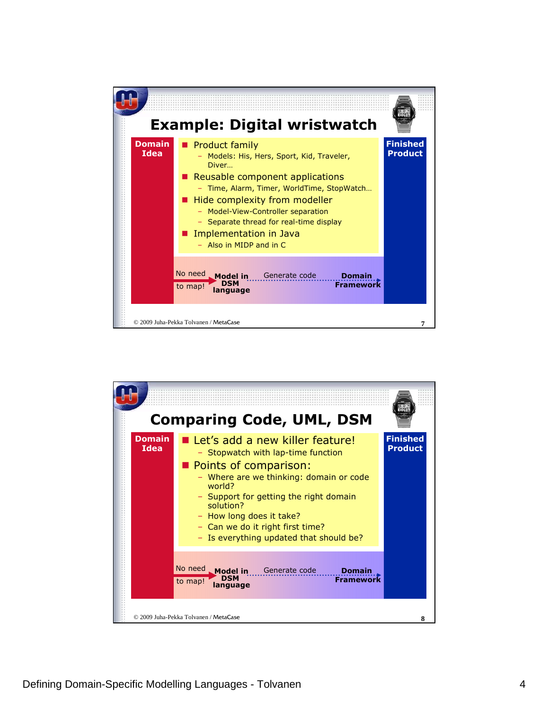

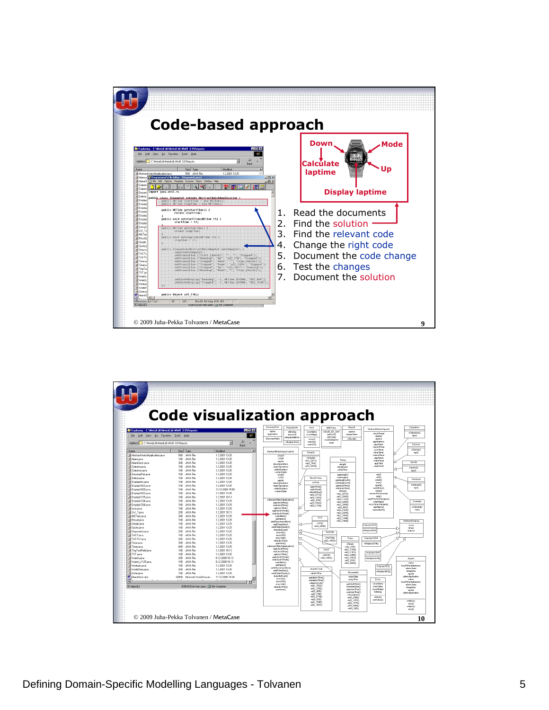

| Exploring - C:\MetaEdit\MetaEdit MWB 3.0\Reports<br>File Edit View Go Favorites Tools Help<br>Address C C \MetaEdit\MetaEdit MwB 3.0\Reports |                                      |                                    | $ \Box$ $\times$ | DecompPair<br>DisplayInfo<br><b>Alama</b><br><b>+blinking</b> | Icon<br>-icon Name               | Repult<br><b>METime</b><br>-HOUR OF DAY<br>eaction | AbstractWatchApplet                    | Celettina                    |
|----------------------------------------------------------------------------------------------------------------------------------------------|--------------------------------------|------------------------------------|------------------|---------------------------------------------------------------|----------------------------------|----------------------------------------------------|----------------------------------------|------------------------------|
|                                                                                                                                              |                                      |                                    | m                | ann&ration<br>ekey Unit<br>displayfilethed                    | -iconVAdget                      | MNUTE<br>etarget State<br>-SECOND                  | vinci/Thread<br>-display               | +Celestronf)<br>$+000$       |
|                                                                                                                                              |                                      | ₩<br>国<br>Back                     |                  | +DecompPair()<br>+Disolay IndoC)                              | alcon O<br>+setOn()<br>+set OffO | $-848400$<br>HUNDREDTH<br>-sizes                   | -atems<br>-applications:<br>-app Stack | Delicia                      |
| Name                                                                                                                                         | Size Type                            | Modified                           |                  | AbstractWatchApplication                                      |                                  |                                                    | -clockOffset<br>-kon-Panel             | +Deliciar)                   |
| AbstractWatchApplication.java                                                                                                                | JAVA File<br><b>SKB</b>              | 1.2.2001 13:25                     |                  | -START                                                        | Simple                           |                                                    | timePanel<br><b>Jutton Papel</b>       | epo)                         |
| Alarmjava                                                                                                                                    | JAVA File<br>1KB                     | 1.2.2001 13:25                     |                  | $S$ TOP                                                       | +Simple()<br>+422_20110          | Timer                                              | -app Panel<br>state Panel              |                              |
| AlamClock.java                                                                                                                               | 3KB<br>JAVA File                     | 1.2.2001 13:25                     |                  | -applet<br>-decompositions                                    | +422,7840                        | siconth                                            | Jann-Field                             | Sporty                       |
| S Celestrajava                                                                                                                               | 1KB<br>JAVA File                     | 1.2.2001 13:25                     |                  | .crana Transitions                                            | +422_20300                       | HenathLeft                                         | state Field                            | +Sporty()                    |
| Gelestron java                                                                                                                               | 1KB<br>JAVA File                     | 1.2.2001 13:25                     |                  | -stateDisplays<br>-current State                              |                                  | +stopTime                                          |                                        | 4910                         |
| SI DecompPair.java                                                                                                                           | JAVA File<br>1KB                     | 1.2.2001 13:25                     |                  | ставт.                                                        |                                  | enginemb@                                          | +910<br>entri                          |                              |
| 3 Delicia java                                                                                                                               | 1KB<br>JAVA File                     | 1.2.2001 13:25                     |                  | $-5TOP$<br>-applet                                            | WorldTime                        | +setlength()<br>+getlengthLeft()                   | +start()                               | Ventures                     |
| Fisplaulnfo.java                                                                                                                             | 1KB<br>JAVA File                     | 1.2.2001 13:25                     |                  | -decompositions                                               | entfort                          | +setlengthLeft()                                   | $+mn()$<br>+caire <sup>2</sup>         | +Minturer()                  |
| Display/022.java<br>S Display/025.java                                                                                                       | 1KB<br>JAVA File<br>1KB<br>JAVA File | 1.2.2001 13:25<br>13.12.2000 15:59 |                  | -stateTransitions<br>-stateDistribuce                         | +petoffset()<br>+cetoffcet0      | +patstopTime()<br>+setstopTime()                   | eret@inks()                            | 4200                         |
| F DisplayM332 java                                                                                                                           | 1KB<br>JAVA File                     | 1.2.2001 13:25                     |                  | Journald State                                                | +WorldTime()                     | +Timen?                                            | $+$ stop $0$<br>+actionPerformed()     |                              |
| J Display/<125.java                                                                                                                          | 1KB<br>JAVA File                     | 1.2.2001 10:13                     |                  |                                                               | +822 27130<br>+822 13410         | +x22 26720<br>+a22 28420                           | elog()                                 |                              |
| S Display/ 234 java                                                                                                                          | 1KB<br>JAVA File                     | 1.2.2001 13:25                     |                  | +/bstractWatch/eplication()                                   | +a22_678()                       | +422_1123Q                                         | eadsThisAndSubAcosti                   | Celestra                     |
| S Display/C334.java                                                                                                                          | 1KB<br>JAVA File                     | 1.2.2001 13:25                     |                  | +petolookTime()<br>+setolookTime()                            | +422_22820                       | +a22_22010<br>+a22 28660                           | +startAccO<br>+sysTimeChanged()        |                              |
| Si Icon.java                                                                                                                                 | 1KB<br>JAVA File                     | 1.2.2001 13:25                     |                  | +oetsysTimer)                                                 | +422_11160                       | +a22 9030                                          | edirlamo<br>uraica diamic"             | +Celestra()<br>$+90()$       |
| S LW_1.java                                                                                                                                  | 2KB<br>JAVA File                     | 1.2.2001 10:13                     |                  | sontclock OfficerO<br>+setclock Offset                        |                                  | +a22_21050<br>+a22_22540                           |                                        |                              |
| A METime.iava                                                                                                                                | 3KB<br>JAVA File                     | 1.2.2001 13:25                     |                  | Company                                                       | TST                              | +422_168BQ                                         |                                        |                              |
| <b>El Result java</b>                                                                                                                        | 1KB<br>JAVA File                     | 1.2.2001 13:25                     |                  | <b>Juliano</b><br>+addDecomposition()                         |                                  | +d22_1346Q<br>+422_1800Q                           |                                        | <b>AbstractDisplay</b>       |
| Simple java                                                                                                                                  | 1KB<br>JAVA File                     | 1.2.2001 13:25                     |                  | +addTransition()                                              | $+7570$                          |                                                    | Display2022                            | <b>Jones</b>                 |
| Sporty.java                                                                                                                                  | JAVA File<br>1KR                     | 1.2.2001 13:25                     |                  | +addStateDisplay()<br>+handle Event()                         |                                  | +422_26690                                         |                                        | dimen                        |
| Stopwatch.java                                                                                                                               | 2KB<br>JAVA File                     | 1.2.2001 13:25                     |                  | vicon On O                                                    |                                  | TASTW                                              | +Display1022)                          | <b>buttons</b>               |
| SI TAST java                                                                                                                                 | JAVA File<br>1KB                     | 1.2.2001 13:25                     |                  | +loon Off()<br>+keyUnitQ                                      |                                  | +TASTMO                                            | DisplayX234                            |                              |
| SI TASTW.iava                                                                                                                                | JAVA File<br>2KR                     | 1.2.2001 13:25                     |                  | +dsplayTime()                                                 |                                  | Time<br>d22_16530                                  |                                        |                              |
| # Time java                                                                                                                                  | JAVA File<br>3KB<br>JAVA File        | 1.2.2001 13:25                     |                  | +perform()<br>+/bstractWatch/ipplication()                    |                                  | $+5me$                                             | $+0$ isplay $32340$                    |                              |
| SI Timer.java<br>Si TinuTextField.iava                                                                                                       | 4KB<br>1KB<br>JAVA File              | 1.2.2001 13:25<br>1.2.2001 10:13   |                  | +ostolockTman                                                 |                                  | +422_3240<br>+a22 13300<br>TAST                    |                                        |                              |
| FITST.java                                                                                                                                   | 1KB<br>JAVA File                     | 1.2.2001 13:25                     |                  | acetologic Time O<br>nemil zvater                             |                                  | +422_11010                                         | DisplayX334                            |                              |
| S Watch java                                                                                                                                 | JAVA File<br>2KB                     | 8.12.2000.16:13                    |                  | +outclock Offset                                              |                                  | +a22 22400<br>$+T@STC$<br>+a22 15520<br>422 16530  | +Display1034()                         | Alam                         |
| SI Watch X125.java                                                                                                                           | 1KB<br>JAVA File                     | 8.12.2000 16:13                    |                  | +netclock Offmetr                                             |                                  | $+822.5330$                                        |                                        |                              |
| SI Venturer java                                                                                                                             | JAVA File<br>1KB                     | 1.2.2001 13:25                     |                  | +retAam()<br>dell Abrin O                                     |                                  | +422_2610Q                                         | Display/032                            | ozme<br>-localTime/wareness  |
| SI WorldTime.java                                                                                                                            | JAVA File<br>2KB                     | 1.2.2001 13:25                     |                  | +addDecomposition()                                           | AlarmClock                       |                                                    |                                        | -alarm State                 |
| 3 Zone java                                                                                                                                  | JAVA File<br>1KB                     | 1.2.2001 13:25                     |                  | +addTransition()<br>eaddStateDisplay(1)                       | extern Time                      | Stoowatch                                          | +Display/032()                         | disatrina<br>-applet         |
| AlamClock.doc                                                                                                                                | 320KB<br>Microsoft Word Docum        | 11.12.2000 14:24                   |                  | +handleEvent()<br>dronOnO                                     | +petalarm Time()                 | actort Foto                                        |                                        | -alarm Poplication           |
|                                                                                                                                              |                                      |                                    |                  | Ainm D100                                                     | ecetalarm Times"                 | +stooTime                                          | Zone                                   | name<br>-localTime Awareness |
| 93 object[s]                                                                                                                                 | 835KB (Disk free space S My Computer |                                    |                  | Heav Unitr's                                                  | + (karm Clocks)<br>+a22_15220    | +petstartDate()<br>+setstartDate()                 | coneName<br>cropholise.                | -plarm State                 |
|                                                                                                                                              |                                      |                                    |                  | +displayTime()<br>+oerform <sup>2</sup>                       | +a22_17820                       | egetstopTime()                                     | cone/Alidoot                           | -sleeptime<br>-spoke         |
|                                                                                                                                              |                                      |                                    |                  |                                                               | +422 9050<br>+a22 7460           | +setstopTime()                                     | -blinking                              | clarm Antication             |
|                                                                                                                                              |                                      |                                    |                  |                                                               | +422 27340                       | +Stopwatch ()<br>+a22 22690                        | $+2$ onech                             |                              |
|                                                                                                                                              |                                      |                                    |                  |                                                               | +422 5350                        | 4822_14750                                         | +set\blue()                            | ABamO                        |
|                                                                                                                                              |                                      |                                    |                  |                                                               | $+422.18400$<br>$+422.19370$     | +a22_1776()<br>$+422 - 29050$                      |                                        | Hun()<br>+Aami'i             |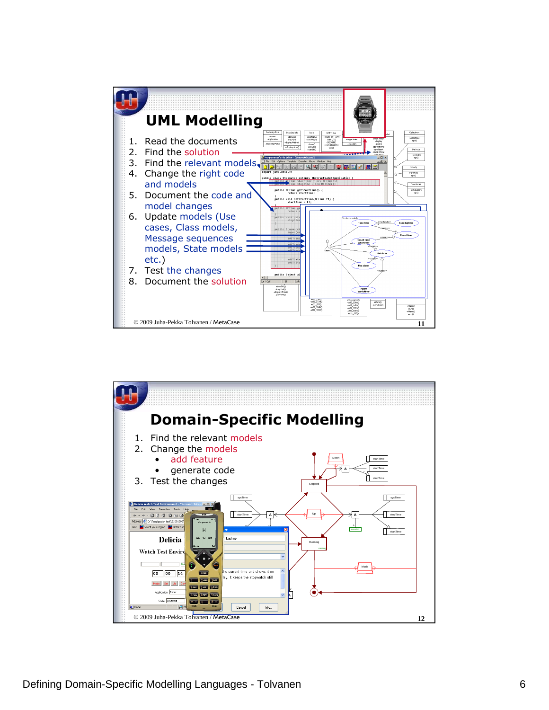

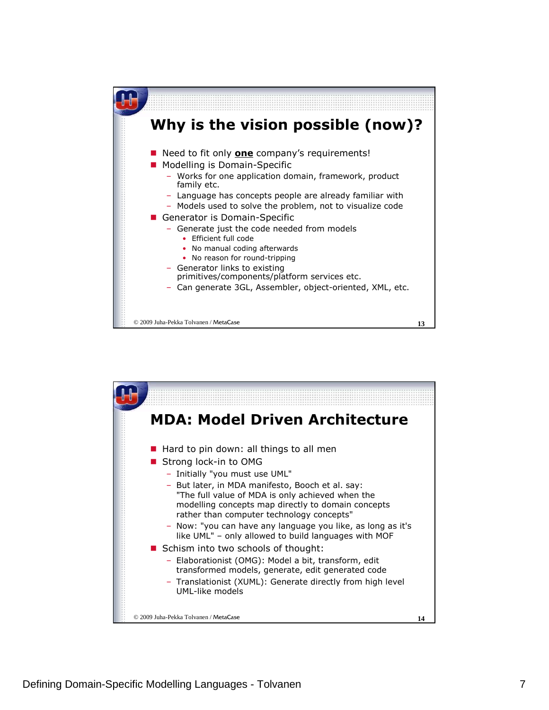

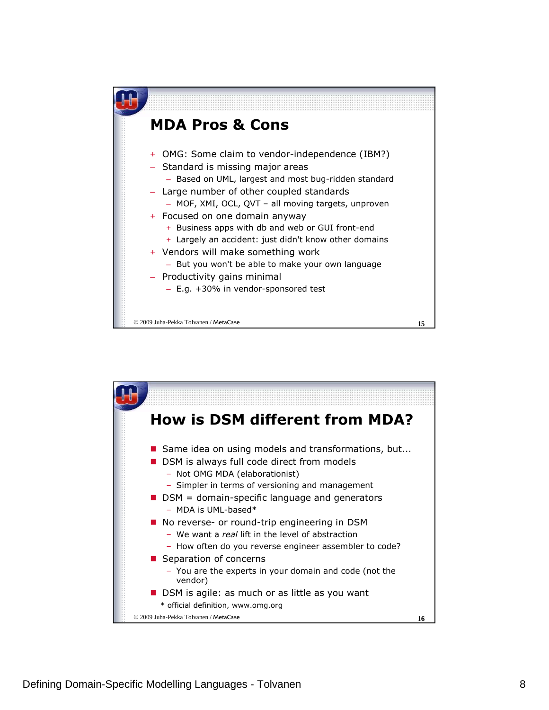

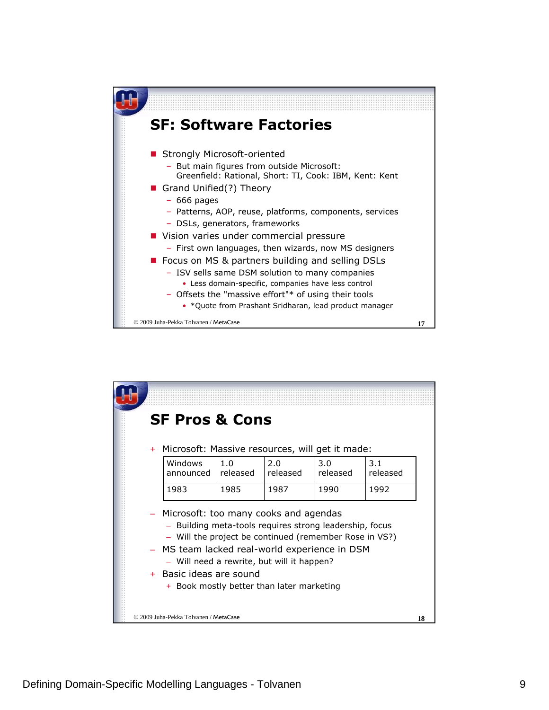

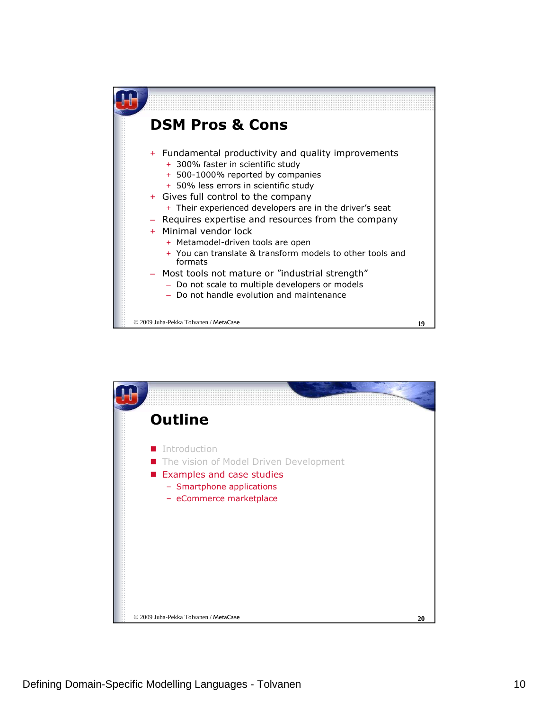

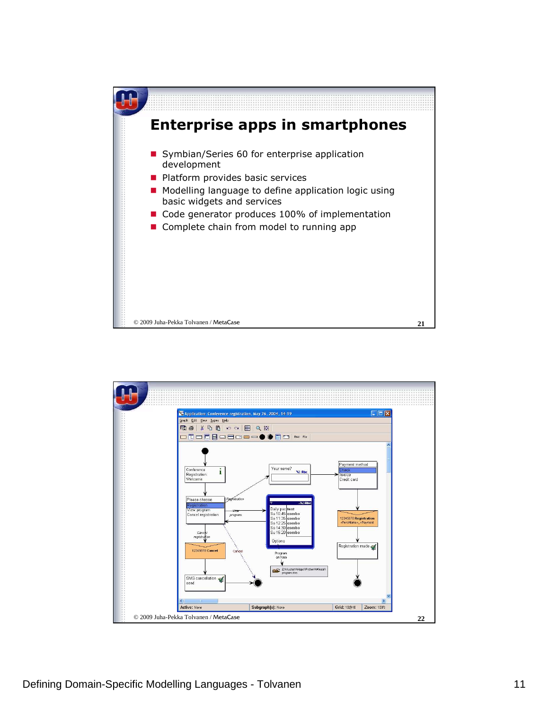

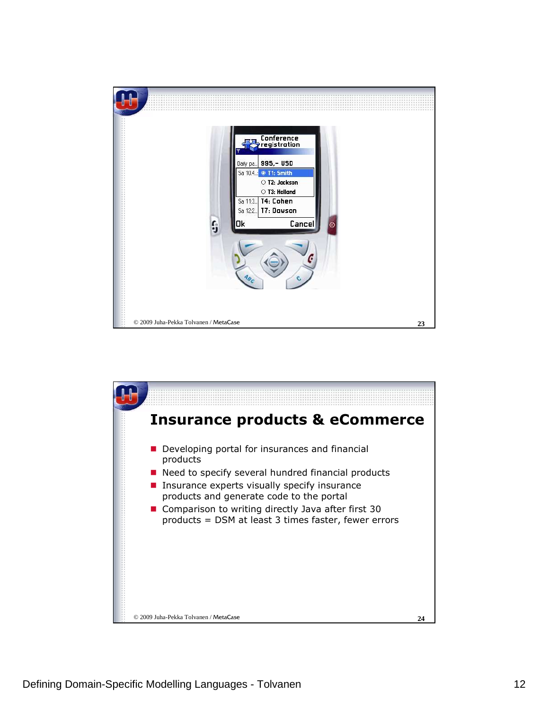

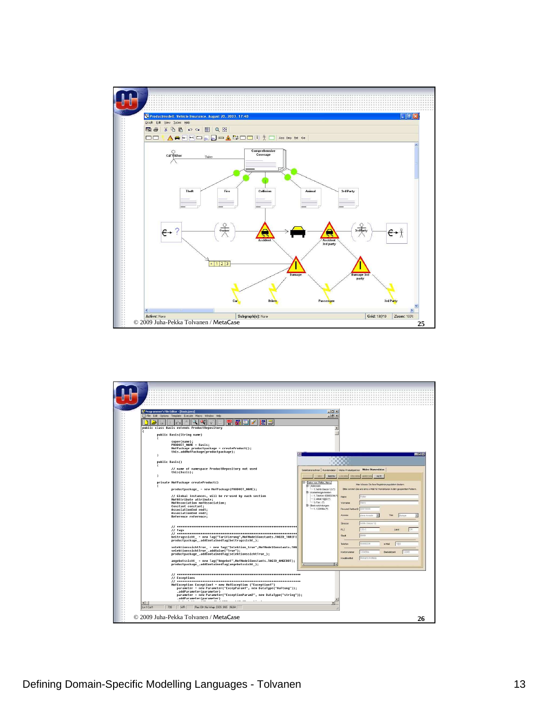

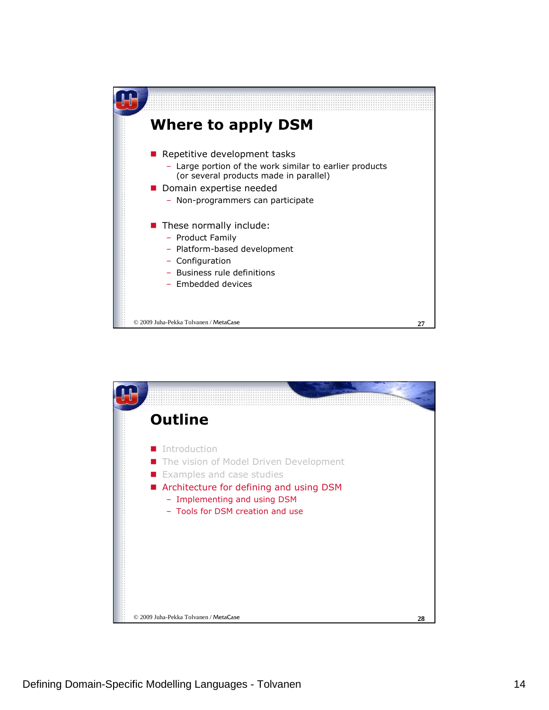

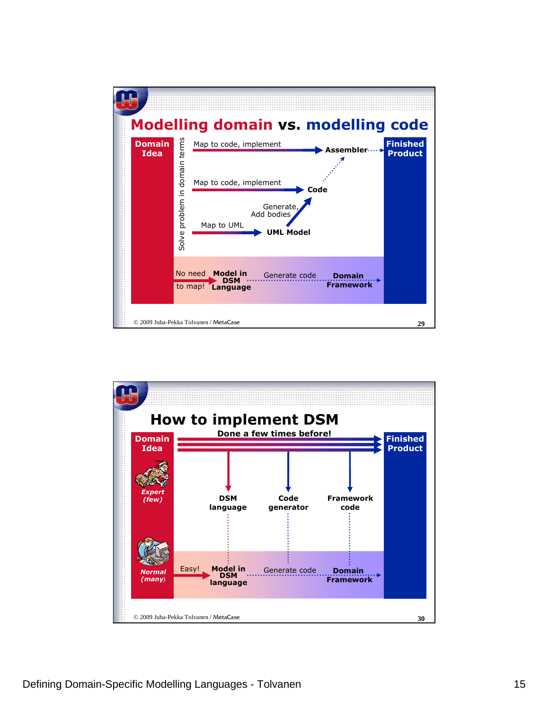

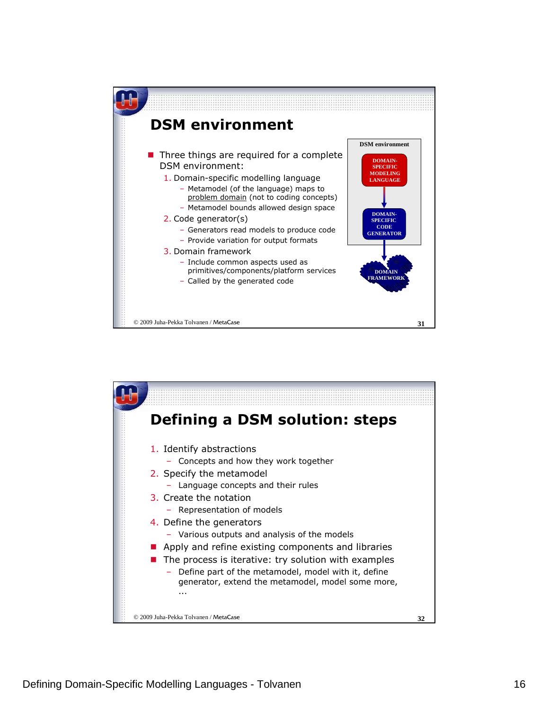

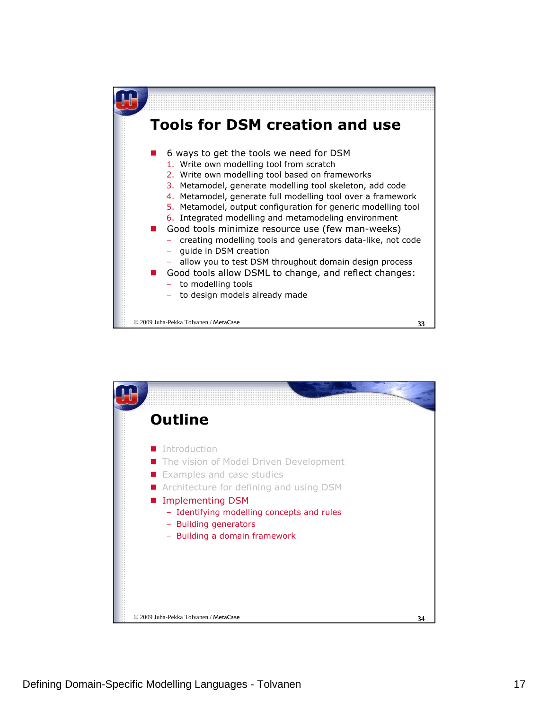

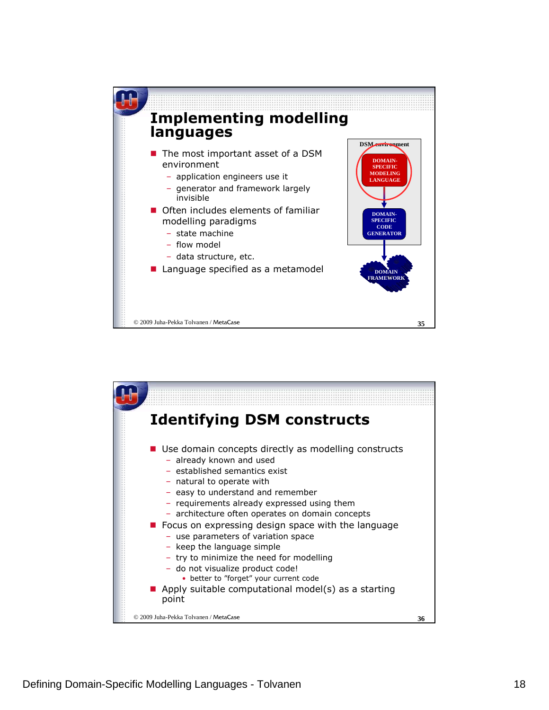

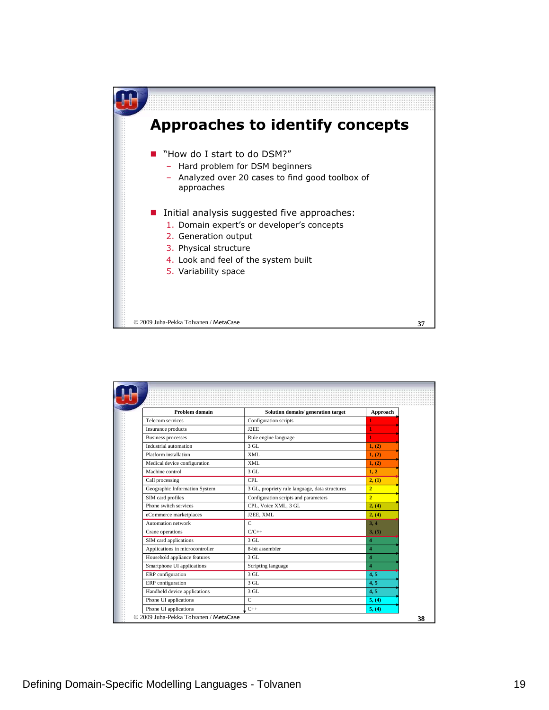

| Problem domain                  | Solution domain/ generation target             | Approach       |
|---------------------------------|------------------------------------------------|----------------|
| Telecom services                | Configuration scripts                          |                |
| Insurance products              | J2EE                                           |                |
| <b>Business processes</b>       | Rule engine language                           |                |
| Industrial automation           | $3$ GL                                         | 1, (2)         |
| Platform installation           | XML                                            | 1, (2)         |
| Medical device configuration    | XML                                            | 1, (2)         |
| Machine control                 | $3$ GL                                         | 1, 2           |
| Call processing                 | <b>CPL</b>                                     | 2, (1)         |
| Geographic Information System   | 3 GL, propriety rule language, data structures | $\overline{2}$ |
| SIM card profiles               | Configuration scripts and parameters           | $\overline{2}$ |
| Phone switch services           | CPL, Voice XML, 3 GL                           | 2, (4)         |
| eCommerce marketplaces          | J2EE, XML                                      | 2, (4)         |
| Automation network              | $\mathbf C$                                    | 3.4            |
| Crane operations                | $C/C++$                                        | 3, (5)         |
| SIM card applications           | 3 GL                                           | $\overline{4}$ |
| Applications in microcontroller | 8-bit assembler                                | $\overline{4}$ |
| Household appliance features    | $3$ GL                                         | $\overline{4}$ |
| Smartphone UI applications      | Scripting language                             | $\overline{4}$ |
| ERP configuration               | 3 GL.                                          | 4, 5           |
| ERP configuration               | 3 GL                                           | 4, 5           |
| Handheld device applications    | $3$ GL                                         | 4, 5           |
| Phone UI applications           | $\mathsf{C}$                                   | 5, (4)         |
| Phone UI applications           | $C++$                                          | 5, (4)         |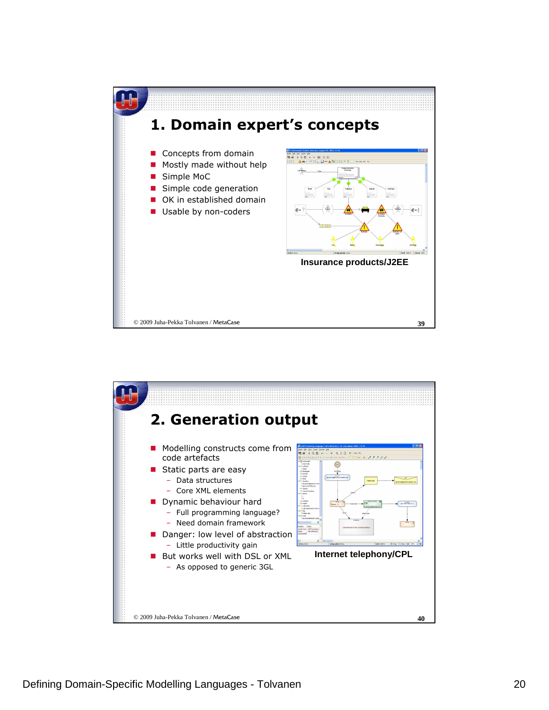

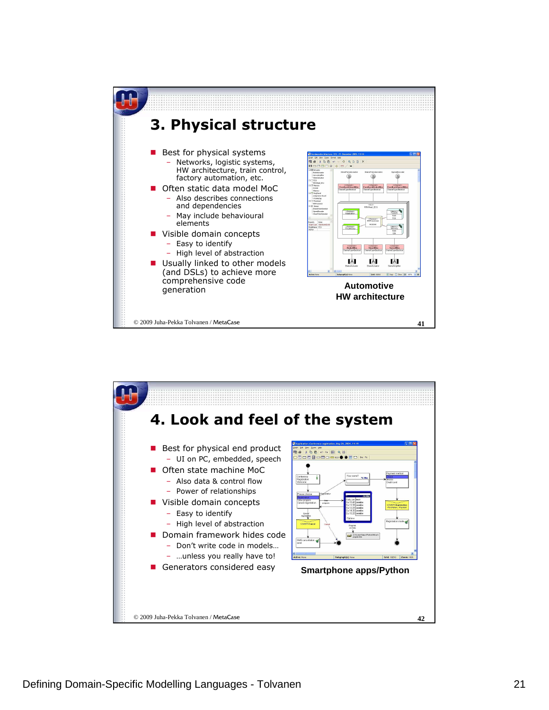

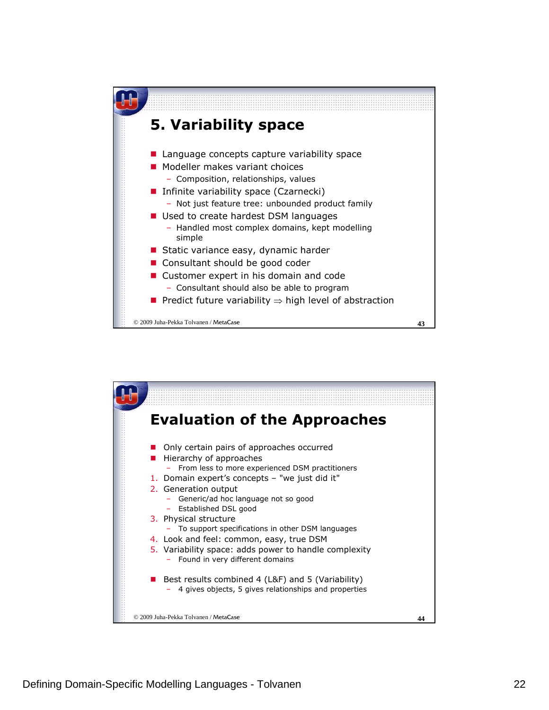

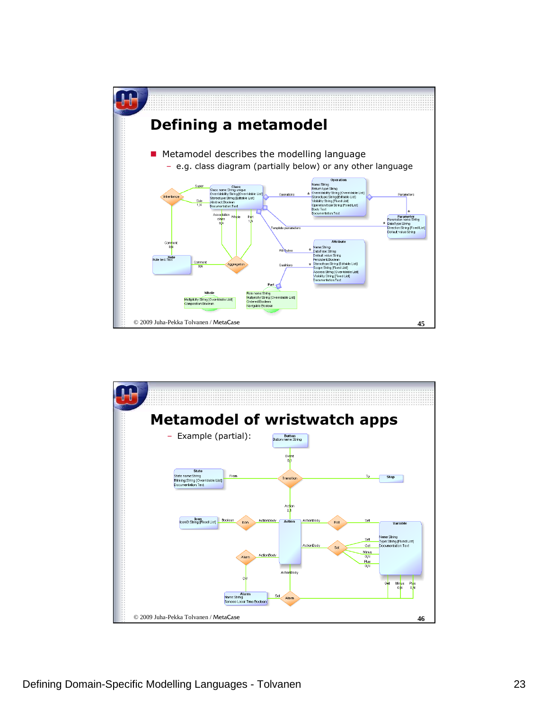

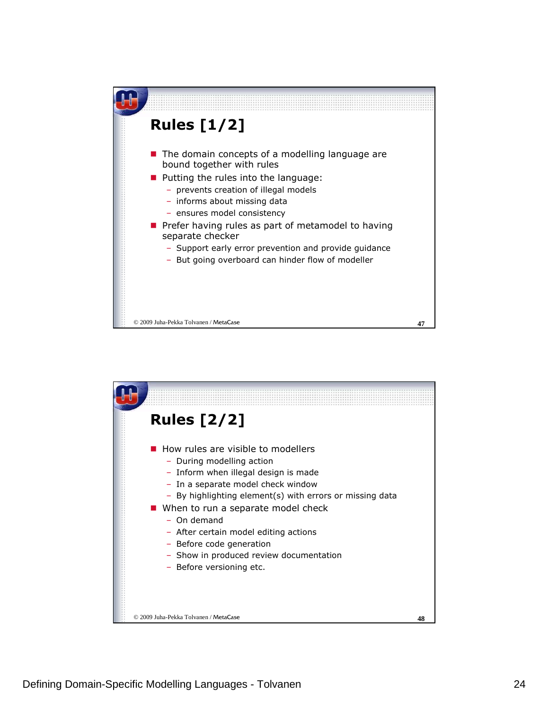

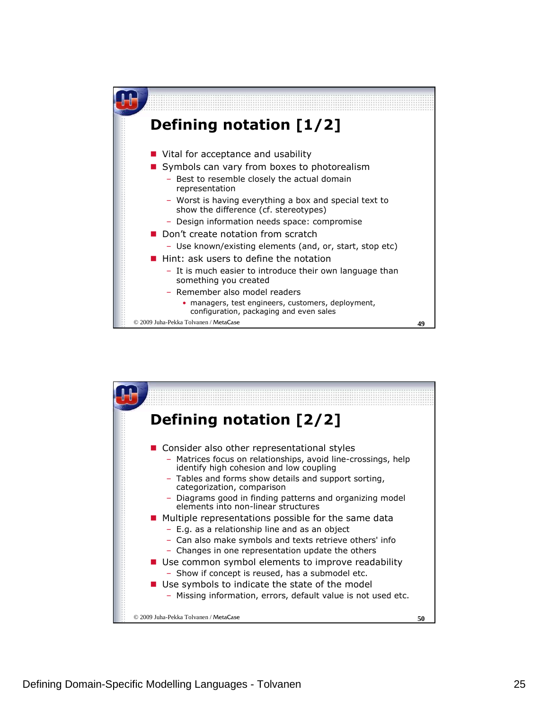

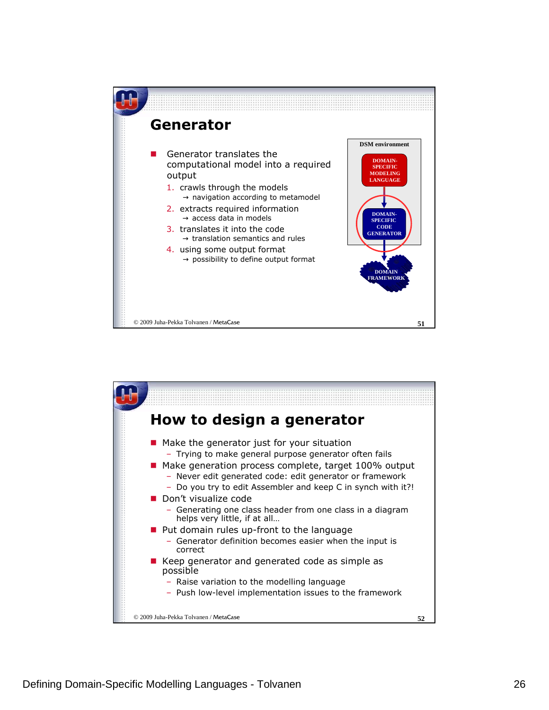

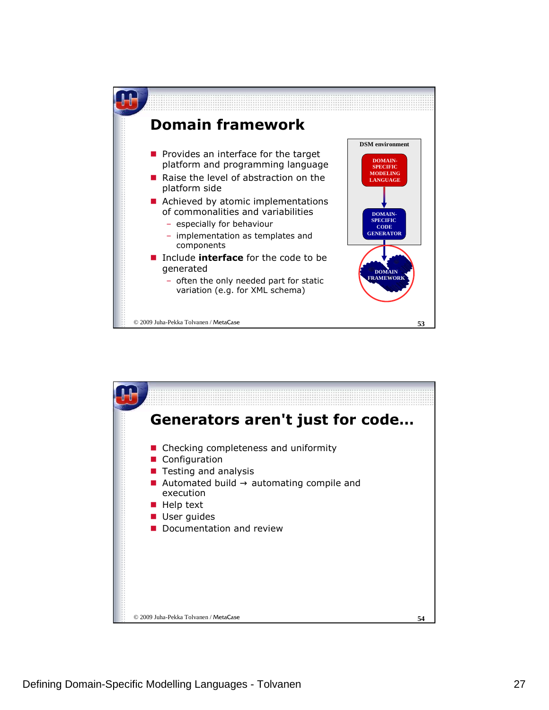

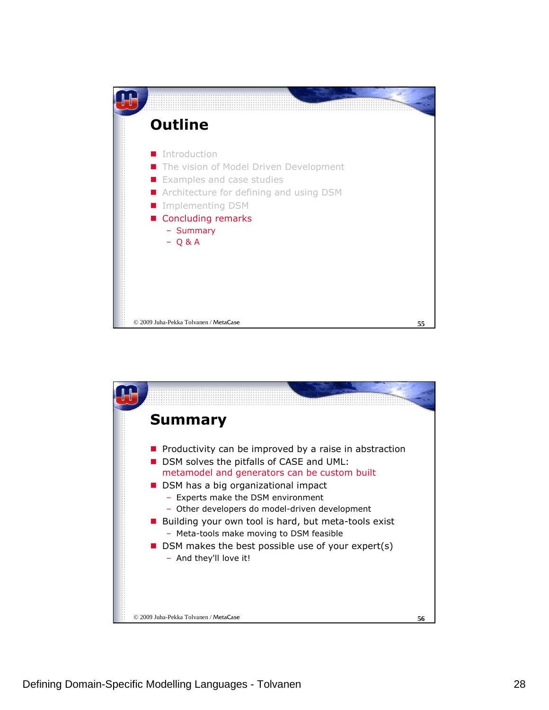